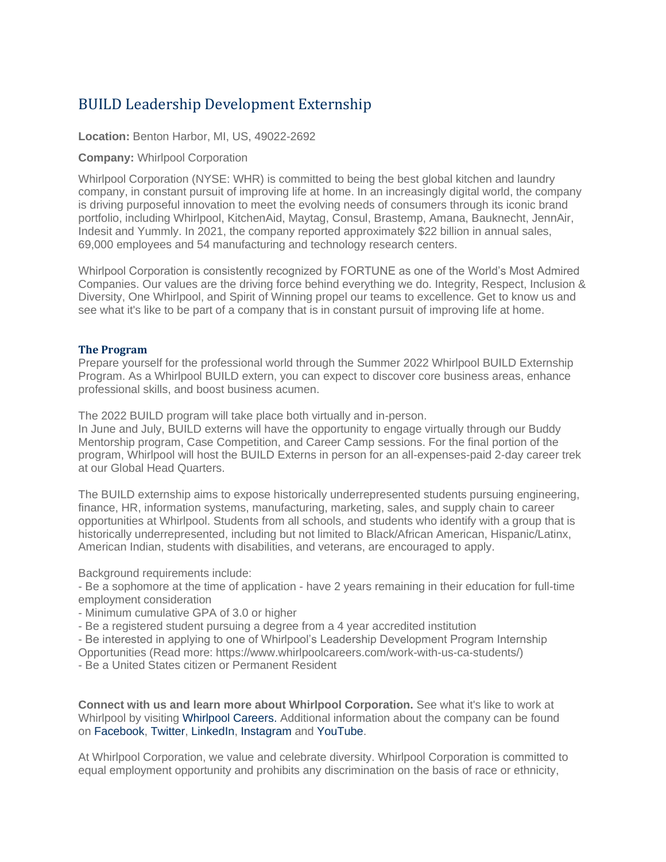## BUILD Leadership Development Externship

**Location:** Benton Harbor, MI, US, 49022-2692

## **Company:** Whirlpool Corporation

Whirlpool Corporation (NYSE: WHR) is committed to being the best global kitchen and laundry company, in constant pursuit of improving life at home. In an increasingly digital world, the company is driving purposeful innovation to meet the evolving needs of consumers through its iconic brand portfolio, including Whirlpool, KitchenAid, Maytag, Consul, Brastemp, Amana, Bauknecht, JennAir, Indesit and Yummly. In 2021, the company reported approximately \$22 billion in annual sales, 69,000 employees and 54 manufacturing and technology research centers.

Whirlpool Corporation is consistently recognized by FORTUNE as one of the World's Most Admired Companies. Our values are the driving force behind everything we do. Integrity, Respect, Inclusion & Diversity, One Whirlpool, and Spirit of Winning propel our teams to excellence. Get to know us and see what it's like to be part of a company that is in constant pursuit of improving life at home.

## **The Program**

Prepare yourself for the professional world through the Summer 2022 Whirlpool BUILD Externship Program. As a Whirlpool BUILD extern, you can expect to discover core business areas, enhance professional skills, and boost business acumen.

The 2022 BUILD program will take place both virtually and in-person.

In June and July, BUILD externs will have the opportunity to engage virtually through our Buddy Mentorship program, Case Competition, and Career Camp sessions. For the final portion of the program, Whirlpool will host the BUILD Externs in person for an all-expenses-paid 2-day career trek at our Global Head Quarters.

The BUILD externship aims to expose historically underrepresented students pursuing engineering, finance, HR, information systems, manufacturing, marketing, sales, and supply chain to career opportunities at Whirlpool. Students from all schools, and students who identify with a group that is historically underrepresented, including but not limited to Black/African American, Hispanic/Latinx, American Indian, students with disabilities, and veterans, are encouraged to apply.

Background requirements include:

- Be a sophomore at the time of application - have 2 years remaining in their education for full-time employment consideration

- Minimum cumulative GPA of 3.0 or higher

- Be a registered student pursuing a degree from a 4 year accredited institution

- Be interested in applying to one of Whirlpool's Leadership Development Program Internship

Opportunities (Read more: https://www.whirlpoolcareers.com/work-with-us-ca-students/)

- Be a United States citizen or Permanent Resident

**Connect with us and learn more about Whirlpool Corporation.** See what it's like to work at Whirlpool by visiting [Whirlpool Careers.](https://www.whirlpoolcareers.com/) Additional information about the company can be found on [Facebook,](https://www.facebook.com/WhirlpoolCorp/) [Twitter,](https://twitter.com/WhirlpoolCorp) [LinkedIn,](https://www.linkedin.com/company/whirlpool-corporation/) [Instagram](https://www.instagram.com/whirlpoolcorp/) and [YouTube.](https://www.youtube.com/user/WhirlpoolCorporation)

At Whirlpool Corporation, we value and celebrate diversity. Whirlpool Corporation is committed to equal employment opportunity and prohibits any discrimination on the basis of race or ethnicity,